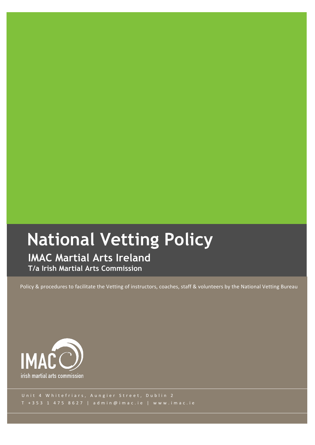# **National Vetting Policy**

**IMAC Martial Arts Ireland T/a Irish Martial Arts Commission**

Policy & procedures to facilitate the Vetting of instructors, coaches, staff & volunteers by the National Vetting Bureau



Unit 4 Whitefriars, Aungier Street, Dublin 2 T + 353 1 475 8627 | admin@imac.ie | www.imac.ie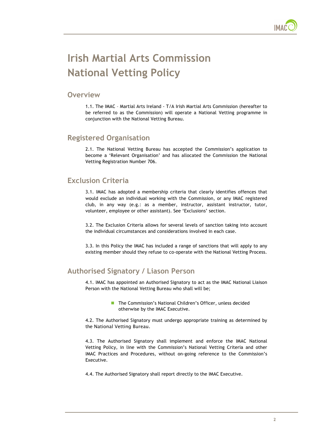

# **Irish Martial Arts Commission National Vetting Policy**

#### **Overview**

1.1. The IMAC – Martial Arts Ireland - T/A Irish Martial Arts Commission (hereafter to be referred to as the Commission) will operate a National Vetting programme in conjunction with the National Vetting Bureau.

#### **Registered Organisation**

2.1. The National Vetting Bureau has accepted the Commission's application to become a 'Relevant Organisation' and has allocated the Commission the National Vetting Registration Number 706.

# **Exclusion Criteria**

3.1. IMAC has adopted a membership criteria that clearly identifies offences that would exclude an individual working with the Commission, or any IMAC registered club, in any way (e.g.: as a member, instructor, assistant instructor, tutor, volunteer, employee or other assistant). See 'Exclusions' section.

3.2. The Exclusion Criteria allows for several levels of sanction taking into account the individual circumstances and considerations involved in each case.

3.3. In this Policy the IMAC has included a range of sanctions that will apply to any existing member should they refuse to co-operate with the National Vetting Process.

# **Authorised Signatory / Liason Person**

4.1. IMAC has appointed an Authorised Signatory to act as the IMAC National Liaison Person with the National Vetting Bureau who shall will be;

> **The Commission's National Children's Officer, unless decided** otherwise by the IMAC Executive.

4.2. The Authorised Signatory must undergo appropriate training as determined by the National Vetting Bureau.

4.3. The Authorised Signatory shall implement and enforce the IMAC National Vetting Policy, in line with the Commission's National Vetting Criteria and other IMAC Practices and Procedures, without on-going reference to the Commission's Executive.

4.4. The Authorised Signatory shall report directly to the IMAC Executive.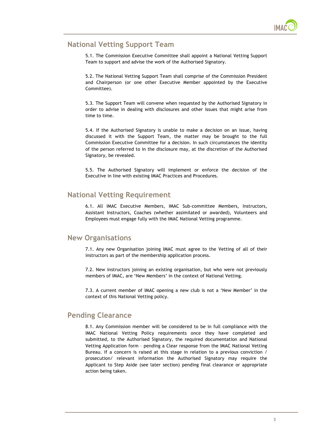

# **National Vetting Support Team**

5.1. The Commission Executive Committee shall appoint a National Vetting Support Team to support and advise the work of the Authorised Signatory.

5.2. The National Vetting Support Team shall comprise of the Commission President and Chairperson (or one other Executive Member appointed by the Executive Committee).

5.3. The Support Team will convene when requested by the Authorised Signatory in order to advise in dealing with disclosures and other issues that might arise from time to time.

5.4. If the Authorised Signatory is unable to make a decision on an issue, having discussed it with the Support Team, the matter may be brought to the full Commission Executive Committee for a decision. In such circumstances the identity of the person referred to in the disclosure may, at the discretion of the Authorised Signatory, be revealed.

5.5. The Authorised Signatory will implement or enforce the decision of the Executive in line with existing IMAC Practices and Procedures.

#### **National Vetting Requirement**

6.1. All IMAC Executive Members, IMAC Sub-committee Members, Instructors, Assistant Instructors, Coaches (whether assimilated or awarded), Volunteers and Employees must engage fully with the IMAC National Vetting programme.

#### **New Organisations**

7.1. Any new Organisation joining IMAC must agree to the Vetting of all of their instructors as part of the membership application process.

7.2. New instructors joining an existing organisation, but who were not previously members of IMAC, are 'New Members' in the context of National Vetting.

7.3. A current member of IMAC opening a new club is not a 'New Member' in the context of this National Vetting policy.

#### **Pending Clearance**

8.1. Any Commission member will be considered to be in full compliance with the IMAC National Vetting Policy requirements once they have completed and submitted, to the Authorised Signatory, the required documentation and National Vetting Application form – pending a Clear response from the IMAC National Vetting Bureau. If a concern is raised at this stage in relation to a previous conviction / prosecution/ relevant information the Authorised Signatory may require the Applicant to Step Aside (see later section) pending final clearance or appropriate action being taken.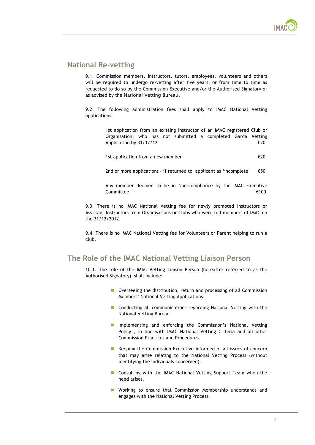#### **National Re-vetting**

9.1. Commission members, instructors, tutors, employees, volunteers and others will be required to undergo re-vetting after five years, or from time to time as requested to do so by the Commission Executive and/or the Authorised Signatory or as advised by the National Vetting Bureau.

9.2. The following administration fees shall apply to IMAC National Vetting applications.

> 1st application from an existing Instructor of an IMAC registered Club or Organisation. who has not submitted a completed Garda Vetting Application by  $31/12/12$   $\epsilon$  20

1st application from a new member  $\epsilon$ 20

2nd or more applications - if returned to applicant as 'incomplete'  $\epsilon$   $\epsilon$   $\epsilon$   $\epsilon$ 

Any member deemed to be in Non-compliance by the IMAC Executive  ${\sf Committee}$   ${\sf \epsilon}{\sf 100}$ 

9.3. There is no IMAC National Vetting fee for newly promoted Instructors or Assistant Instructors from Organisations or Clubs who were full members of IMAC on the 31/12/2012.

9.4. There is no IMAC National Vetting fee for Volunteers or Parent helping to run a club.

#### **The Role of the IMAC National Vetting Liaison Person**

10.1. The role of the IMAC Vetting Liaison Person (hereafter referred to as the Authorised Signatory) shall include:

- **D** Overseeing the distribution, return and processing of all Commission Members' National Vetting Applications.
- **E** Conducting all communications regarding National Vetting with the National Vetting Bureau.
- **I** Implementing and enforcing the Commission's National Vetting Policy , in line with IMAC National Vetting Criteria and all other Commission Practices and Procedures.
- Keeping the Commission Executive informed of all issues of concern that may arise relating to the National Vetting Process (without identifying the individuals concerned).
- **E** Consulting with the IMAC National Vetting Support Team when the need arises.
- **E** Working to ensure that Commission Membership understands and engages with the National Vetting Process.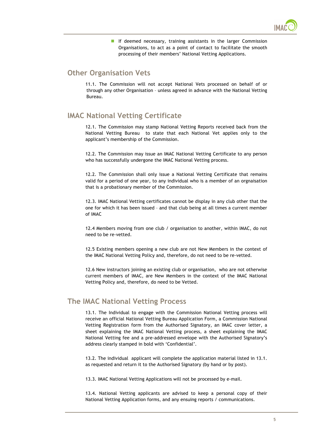

**If deemed necessary, training assistants in the larger Commission** Organisations, to act as a point of contact to facilitate the smooth processing of their members' National Vetting Applications.

#### **Other Organisation Vets**

11.1. The Commission will not accept National Vets processed on behalf of or through any other Organisation – unless agreed in advance with the National Vetting Bureau.

# **IMAC National Vetting Certificate**

12.1. The Commission may stamp National Vetting Reports received back from the National Vetting Bureau to state that each National Vet applies only to the applicant's membership of the Commission.

12.2. The Commission may issue an IMAC National Vetting Certificate to any person who has successfully undergone the IMAC National Vetting process.

12.2. The Commission shall only issue a National Vetting Certificate that remains valid for a period of one year, to any individual who is a member of an orgnaisation that is a probationary member of the Commission.

12.3. IMAC National Vetting certificates cannot be display in any club other that the one for which it has been issued – and that club being at all times a current member of IMAC

12.4 Members moving from one club / organisation to another, within IMAC, do not need to be re-vetted.

12.5 Existing members opening a new club are not New Members in the context of the IMAC National Vetting Policy and, therefore, do not need to be re-vetted.

12.6 New instructors joining an existing club or organisation, who are not otherwise current members of IMAC, are New Members in the context of the IMAC National Vetting Policy and, therefore, do need to be Vetted.

#### **The IMAC National Vetting Process**

13.1. The Individual to engage with the Commission National Vetting process will receive an official National Vetting Bureau Application Form, a Commission National Vetting Registration form from the Authorised Signatory, an IMAC cover letter, a sheet explaining the IMAC National Vetting process, a sheet explaining the IMAC National Vetting fee and a pre-addressed envelope with the Authorised Signatory's address clearly stamped in bold with 'Confidential'.

13.2. The individual applicant will complete the application material listed in 13.1. as requested and return it to the Authorised Signatory (by hand or by post).

13.3. IMAC National Vetting Applications will not be processed by e-mail.

13.4. National Vetting applicants are advised to keep a personal copy of their National Vetting Application forms, and any ensuing reports / communications.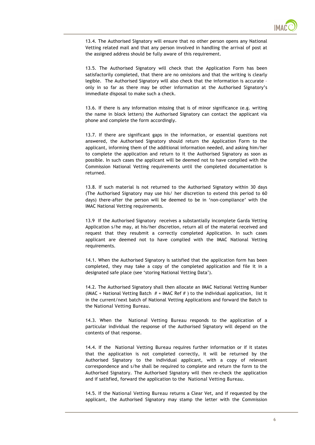

13.4. The Authorised Signatory will ensure that no other person opens any National Vetting related mail and that any person involved in handling the arrival of post at the assigned address should be fully aware of this requirement.

13.5. The Authorised Signatory will check that the Application Form has been satisfactorily completed, that there are no omissions and that the writing is clearly legible. The Authorised Signatory will also check that the information is accurate – only in so far as there may be other information at the Authorised Signatory's immediate disposal to make such a check.

13.6. If there is any information missing that is of minor significance (e.g. writing the name in block letters) the Authorised Signatory can contact the applicant via phone and complete the form accordingly.

13.7. If there are significant gaps in the information, or essential questions not answered, the Authorised Signatory should return the Application Form to the applicant, informing them of the additional information needed, and asking him/her to complete the application and return to it the Authorised Signatory as soon as possible. In such cases the applicant will be deemed not to have complied with the Commission National Vetting requirements until the completed documentation is returned.

13.8. If such material is not returned to the Authorised Signatory within 30 days (The Authorised Signatory may use his/ her discretion to extend this period to 60 days) there-after the person will be deemed to be in 'non-compliance' with the IMAC National Vetting requirements.

13.9 If the Authorised Signatory receives a substantially incomplete Garda Vetting Application s/he may, at his/her discretion, return all of the material received and request that they resubmit a correctly completed Application. In such cases applicant are deemed not to have complied with the IMAC National Vetting requirements.

14.1. When the Authorised Signatory is satisfied that the application form has been completed, they may take a copy of the completed application and file it in a designated safe place (see 'storing National Vetting Data').

14.2. The Authorised Signatory shall then allocate an IMAC National Vetting Number (IMAC + National Vetting Batch  $#$  + IMAC Ref  $#$ ) to the individual application, list it in the current/next batch of National Vetting Applications and forward the Batch to the National Vetting Bureau.

14.3. When the National Vetting Bureau responds to the application of a particular individual the response of the Authorised Signatory will depend on the contents of that response.

14.4. If the National Vetting Bureau requires further information or if it states that the application is not completed correctly, it will be returned by the Authorised Signatory to the individual applicant, with a copy of relevant correspondence and s/he shall be required to complete and return the form to the Authorised Signatory. The Authorised Signatory will then re-check the application and if satisfied, forward the application to the National Vetting Bureau.

14.5. If the National Vetting Bureau returns a Clear Vet, and if requested by the applicant, the Authorised Signatory may stamp the letter with the Commission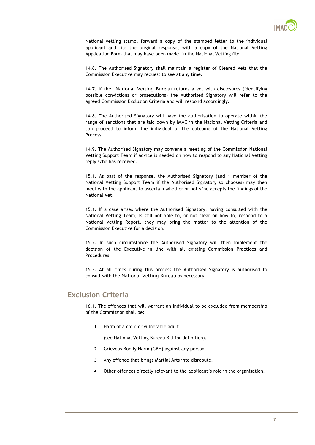

National vetting stamp, forward a copy of the stamped letter to the individual applicant and file the original response, with a copy of the National Vetting Application Form that may have been made, in the National Vetting file.

14.6. The Authorised Signatory shall maintain a register of Cleared Vets that the Commission Executive may request to see at any time.

14.7. If the National Vetting Bureau returns a vet with disclosures (identifying possible convictions or prosecutions) the Authorised Signatory will refer to the agreed Commission Exclusion Criteria and will respond accordingly.

14.8. The Authorised Signatory will have the authorisation to operate within the range of sanctions that are laid down by IMAC in the National Vetting Criteria and can proceed to inform the individual of the outcome of the National Vetting Process.

14.9. The Authorised Signatory may convene a meeting of the Commission National Vetting Support Team if advice is needed on how to respond to any National Vetting reply s/he has received.

15.1. As part of the response, the Authorised Signatory (and 1 member of the National Vetting Support Team if the Authorised Signatory so chooses) may then meet with the applicant to ascertain whether or not s/he accepts the findings of the National Vet.

15.1. If a case arises where the Authorised Signatory, having consulted with the National Vetting Team, is still not able to, or not clear on how to, respond to a National Vetting Report, they may bring the matter to the attention of the Commission Executive for a decision.

15.2. In such circumstance the Authorised Signatory will then implement the decision of the Executive in line with all existing Commission Practices and Procedures.

15.3. At all times during this process the Authorised Signatory is authorised to consult with the National Vetting Bureau as necessary.

#### **Exclusion Criteria**

16.1. The offences that will warrant an individual to be excluded from membership of the Commission shall be;

**1** Harm of a child or vulnerable adult

(see National Vetting Bureau Bill for definition).

- **2** Grievous Bodily Harm (GBH) against any person
- **3** Any offence that brings Martial Arts into disrepute.
- **4** Other offences directly relevant to the applicant's role in the organisation.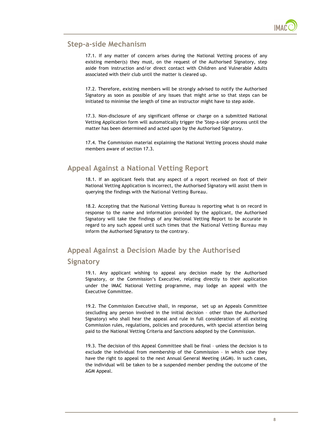

#### **Step-a-side Mechanism**

17.1. If any matter of concern arises during the National Vetting process of any existing member(s) they must, on the request of the Authorised Signatory, step aside from instruction and/or direct contact with Children and Vulnerable Adults associated with their club until the matter is cleared up.

17.2. Therefore, existing members will be strongly advised to notify the Authorised Signatory as soon as possible of any issues that might arise so that steps can be initiated to minimise the length of time an instructor might have to step aside.

17.3. Non-disclosure of any significant offense or charge on a submitted National Vetting Application form will automatically trigger the 'Step-a-side' process until the matter has been determined and acted upon by the Authorised Signatory.

17.4. The Commission material explaining the National Vetting process should make members aware of section 17.3.

#### **Appeal Against a National Vetting Report**

18.1. If an applicant feels that any aspect of a report received on foot of their National Vetting Application is incorrect, the Authorised Signatory will assist them in querying the findings with the National Vetting Bureau.

18.2. Accepting that the National Vetting Bureau is reporting what is on record in response to the name and information provided by the applicant, the Authorised Signatory will take the findings of any National Vetting Report to be accurate in regard to any such appeal until such times that the National Vetting Bureau may inform the Authorised Signatory to the contrary.

# **Appeal Against a Decision Made by the Authorised Signatory**

19.1. Any applicant wishing to appeal any decision made by the Authorised Signatory, or the Commission's Executive, relating directly to their application under the IMAC National Vetting programme, may lodge an appeal with the Executive Committee.

19.2. The Commission Executive shall, in response, set up an Appeals Committee (excluding any person involved in the initial decision – other than the Authorised Signatory) who shall hear the appeal and rule in full consideration of all existing Commission rules, regulations, policies and procedures, with special attention being paid to the National Vetting Criteria and Sanctions adopted by the Commission.

19.3. The decision of this Appeal Committee shall be final – unless the decision is to exclude the individual from membership of the Commission – in which case they have the right to appeal to the next Annual General Meeting (AGM). In such cases, the individual will be taken to be a suspended member pending the outcome of the AGM Appeal.